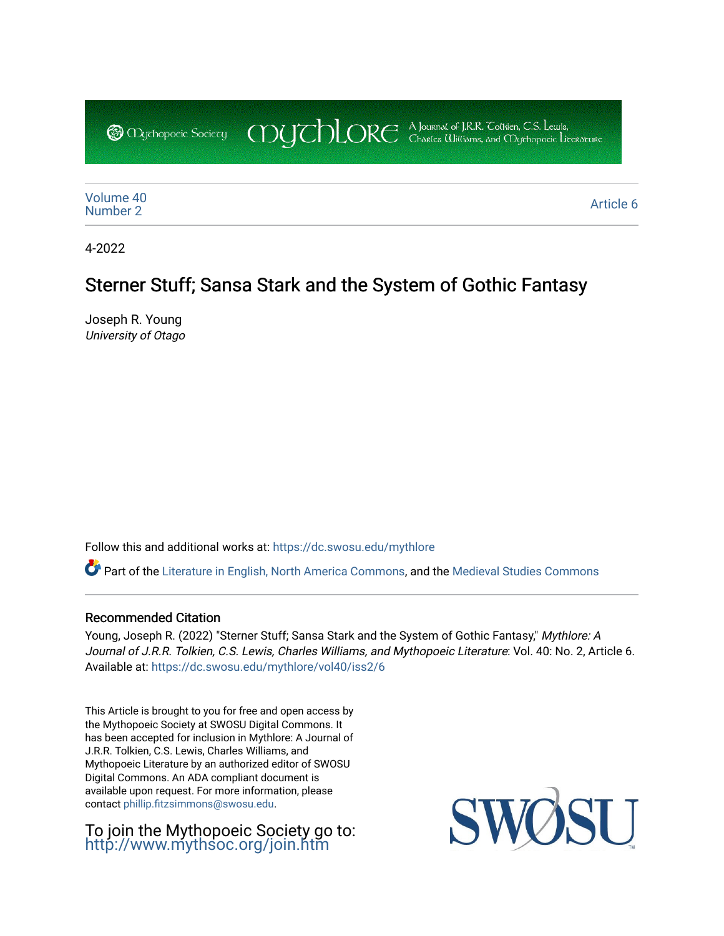COUCHORE A Journal of J.R.R. Colkien, C.S. Lewis, **@** *Oychopoeic* Sociecy

[Volume 40](https://dc.swosu.edu/mythlore/vol40) [Number 2](https://dc.swosu.edu/mythlore/vol40/iss2) Article 6<br>Number 2

4-2022

# Sterner Stuff; Sansa Stark and the System of Gothic Fantasy

Joseph R. Young University of Otago

Follow this and additional works at: [https://dc.swosu.edu/mythlore](https://dc.swosu.edu/mythlore?utm_source=dc.swosu.edu%2Fmythlore%2Fvol40%2Fiss2%2F6&utm_medium=PDF&utm_campaign=PDFCoverPages) 

Part of the [Literature in English, North America Commons,](http://network.bepress.com/hgg/discipline/458?utm_source=dc.swosu.edu%2Fmythlore%2Fvol40%2Fiss2%2F6&utm_medium=PDF&utm_campaign=PDFCoverPages) and the [Medieval Studies Commons](http://network.bepress.com/hgg/discipline/480?utm_source=dc.swosu.edu%2Fmythlore%2Fvol40%2Fiss2%2F6&utm_medium=PDF&utm_campaign=PDFCoverPages) 

#### Recommended Citation

Young, Joseph R. (2022) "Sterner Stuff; Sansa Stark and the System of Gothic Fantasy," Mythlore: A Journal of J.R.R. Tolkien, C.S. Lewis, Charles Williams, and Mythopoeic Literature: Vol. 40: No. 2, Article 6. Available at: [https://dc.swosu.edu/mythlore/vol40/iss2/6](https://dc.swosu.edu/mythlore/vol40/iss2/6?utm_source=dc.swosu.edu%2Fmythlore%2Fvol40%2Fiss2%2F6&utm_medium=PDF&utm_campaign=PDFCoverPages) 

This Article is brought to you for free and open access by the Mythopoeic Society at SWOSU Digital Commons. It has been accepted for inclusion in Mythlore: A Journal of J.R.R. Tolkien, C.S. Lewis, Charles Williams, and Mythopoeic Literature by an authorized editor of SWOSU Digital Commons. An ADA compliant document is available upon request. For more information, please contact [phillip.fitzsimmons@swosu.edu.](mailto:phillip.fitzsimmons@swosu.edu)

To join the Mythopoeic Society go to: <http://www.mythsoc.org/join.htm>

SWO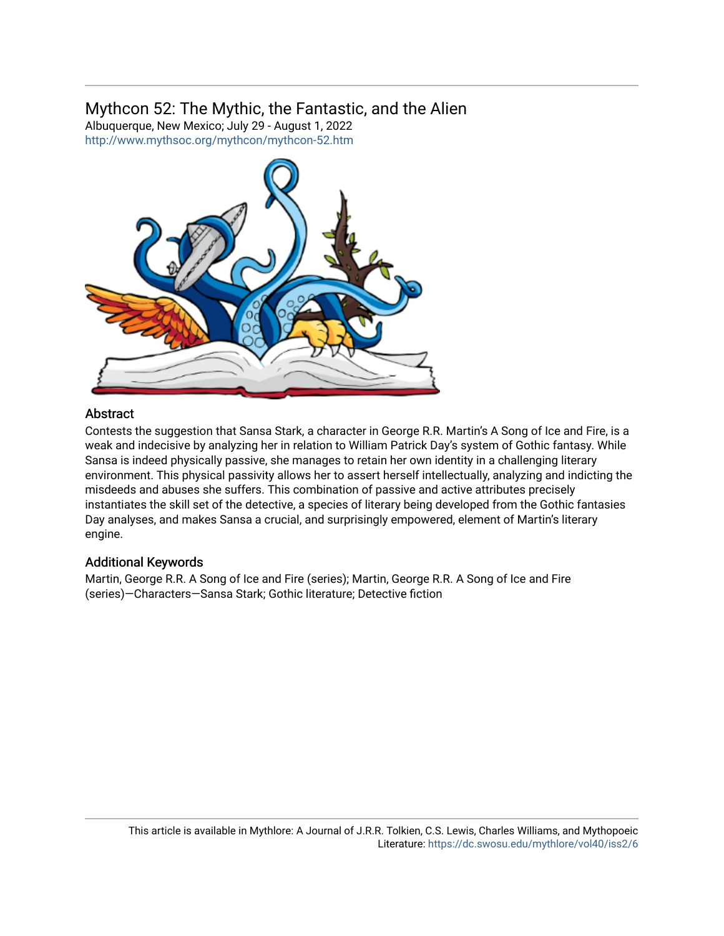## Mythcon 52: The Mythic, the Fantastic, and the Alien

Albuquerque, New Mexico; July 29 - August 1, 2022 <http://www.mythsoc.org/mythcon/mythcon-52.htm>



### **Abstract**

Contests the suggestion that Sansa Stark, a character in George R.R. Martin's A Song of Ice and Fire, is a weak and indecisive by analyzing her in relation to William Patrick Day's system of Gothic fantasy. While Sansa is indeed physically passive, she manages to retain her own identity in a challenging literary environment. This physical passivity allows her to assert herself intellectually, analyzing and indicting the misdeeds and abuses she suffers. This combination of passive and active attributes precisely instantiates the skill set of the detective, a species of literary being developed from the Gothic fantasies Day analyses, and makes Sansa a crucial, and surprisingly empowered, element of Martin's literary engine.

### Additional Keywords

Martin, George R.R. A Song of Ice and Fire (series); Martin, George R.R. A Song of Ice and Fire (series)—Characters—Sansa Stark; Gothic literature; Detective fiction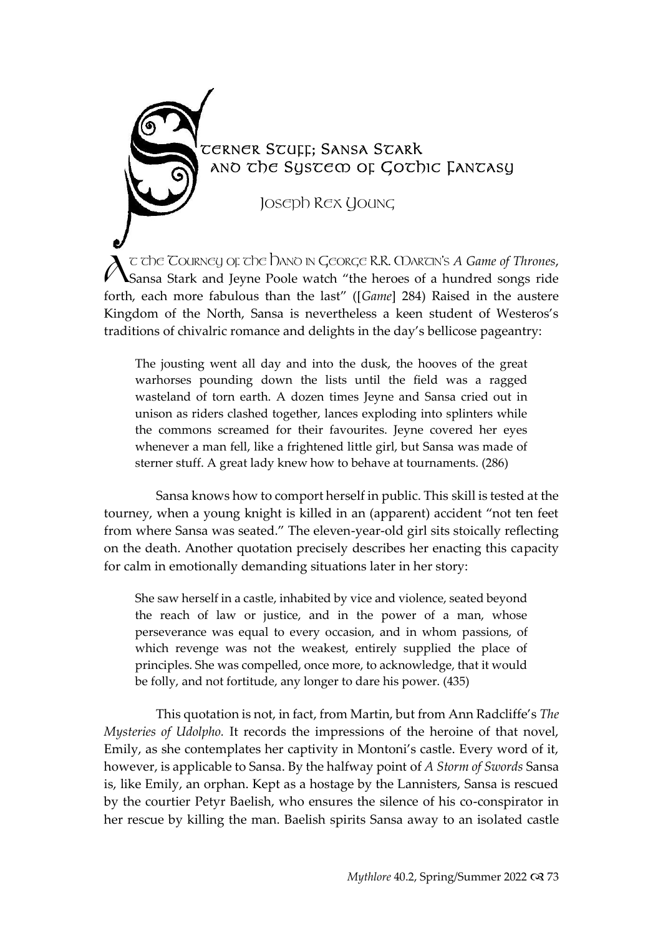

JOSEPH REX YOUNG

T THE TOURNEY OF THE HAND IN GEORGE R.R. MARTIN'S *A Game of Thrones*, Sansa Stark and Jeyne Poole watch "the heroes of a hundred songs ride forth, each more fabulous than the last" ([*Game*] 284) Raised in the austere Kingdom of the North, Sansa is nevertheless a keen student of Westeros's traditions of chivalric romance and delights in the day's bellicose pageantry:  $\lambda$ 

The jousting went all day and into the dusk, the hooves of the great warhorses pounding down the lists until the field was a ragged wasteland of torn earth. A dozen times Jeyne and Sansa cried out in unison as riders clashed together, lances exploding into splinters while the commons screamed for their favourites. Jeyne covered her eyes whenever a man fell, like a frightened little girl, but Sansa was made of sterner stuff. A great lady knew how to behave at tournaments. (286)

Sansa knows how to comport herself in public. This skill is tested at the tourney, when a young knight is killed in an (apparent) accident "not ten feet from where Sansa was seated." The eleven-year-old girl sits stoically reflecting on the death. Another quotation precisely describes her enacting this capacity for calm in emotionally demanding situations later in her story:

She saw herself in a castle, inhabited by vice and violence, seated beyond the reach of law or justice, and in the power of a man, whose perseverance was equal to every occasion, and in whom passions, of which revenge was not the weakest, entirely supplied the place of principles. She was compelled, once more, to acknowledge, that it would be folly, and not fortitude, any longer to dare his power. (435)

This quotation is not, in fact, from Martin, but from Ann Radcliffe's *The Mysteries of Udolpho.* It records the impressions of the heroine of that novel, Emily, as she contemplates her captivity in Montoni's castle. Every word of it, however, is applicable to Sansa. By the halfway point of *A Storm of Swords* Sansa is, like Emily, an orphan. Kept as a hostage by the Lannisters, Sansa is rescued by the courtier Petyr Baelish, who ensures the silence of his co-conspirator in her rescue by killing the man. Baelish spirits Sansa away to an isolated castle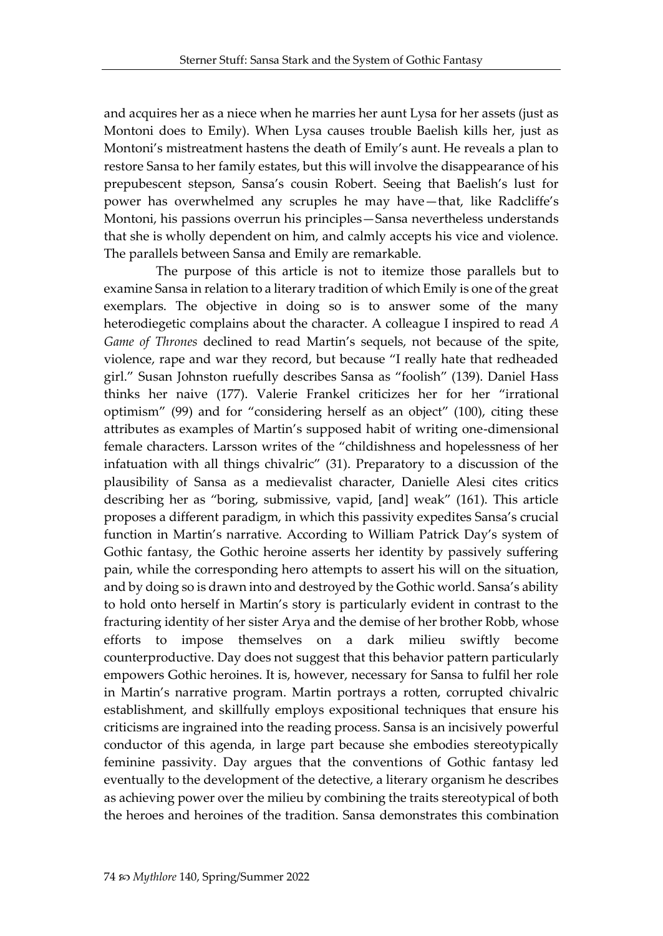and acquires her as a niece when he marries her aunt Lysa for her assets (just as Montoni does to Emily). When Lysa causes trouble Baelish kills her, just as Montoni's mistreatment hastens the death of Emily's aunt. He reveals a plan to restore Sansa to her family estates, but this will involve the disappearance of his prepubescent stepson, Sansa's cousin Robert. Seeing that Baelish's lust for power has overwhelmed any scruples he may have—that, like Radcliffe's Montoni, his passions overrun his principles—Sansa nevertheless understands that she is wholly dependent on him, and calmly accepts his vice and violence. The parallels between Sansa and Emily are remarkable.

The purpose of this article is not to itemize those parallels but to examine Sansa in relation to a literary tradition of which Emily is one of the great exemplars. The objective in doing so is to answer some of the many heterodiegetic complains about the character. A colleague I inspired to read *A Game of Thrones* declined to read Martin's sequels, not because of the spite, violence, rape and war they record, but because "I really hate that redheaded girl." Susan Johnston ruefully describes Sansa as "foolish" (139). Daniel Hass thinks her naive (177). Valerie Frankel criticizes her for her "irrational optimism" (99) and for "considering herself as an object" (100), citing these attributes as examples of Martin's supposed habit of writing one-dimensional female characters. Larsson writes of the "childishness and hopelessness of her infatuation with all things chivalric" (31). Preparatory to a discussion of the plausibility of Sansa as a medievalist character, Danielle Alesi cites critics describing her as "boring, submissive, vapid, [and] weak" (161). This article proposes a different paradigm, in which this passivity expedites Sansa's crucial function in Martin's narrative. According to William Patrick Day's system of Gothic fantasy, the Gothic heroine asserts her identity by passively suffering pain, while the corresponding hero attempts to assert his will on the situation, and by doing so is drawn into and destroyed by the Gothic world. Sansa's ability to hold onto herself in Martin's story is particularly evident in contrast to the fracturing identity of her sister Arya and the demise of her brother Robb, whose efforts to impose themselves on a dark milieu swiftly become counterproductive. Day does not suggest that this behavior pattern particularly empowers Gothic heroines. It is, however, necessary for Sansa to fulfil her role in Martin's narrative program. Martin portrays a rotten, corrupted chivalric establishment, and skillfully employs expositional techniques that ensure his criticisms are ingrained into the reading process. Sansa is an incisively powerful conductor of this agenda, in large part because she embodies stereotypically feminine passivity. Day argues that the conventions of Gothic fantasy led eventually to the development of the detective, a literary organism he describes as achieving power over the milieu by combining the traits stereotypical of both the heroes and heroines of the tradition. Sansa demonstrates this combination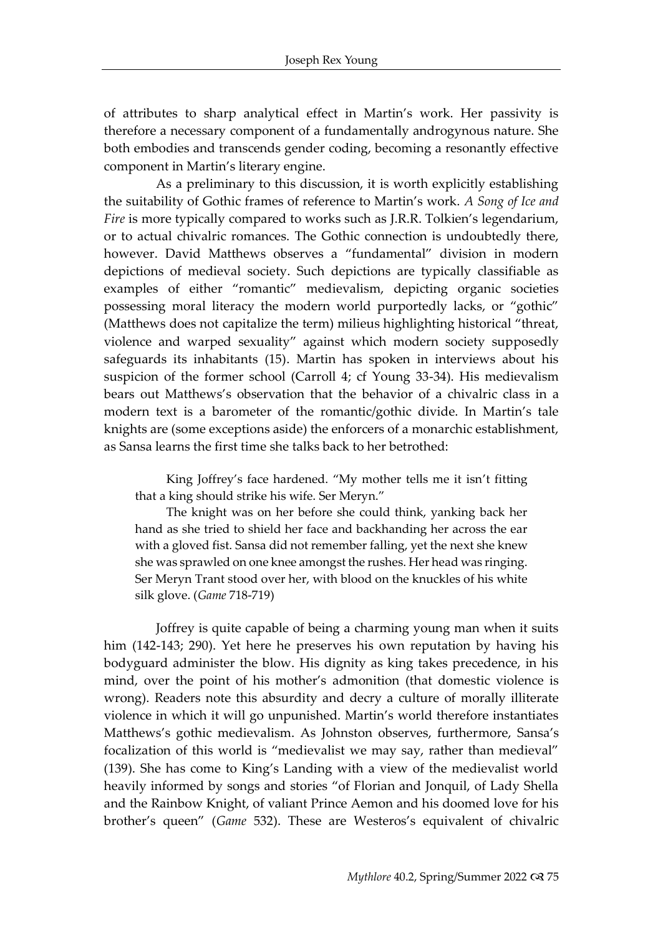of attributes to sharp analytical effect in Martin's work. Her passivity is therefore a necessary component of a fundamentally androgynous nature. She both embodies and transcends gender coding, becoming a resonantly effective component in Martin's literary engine.

As a preliminary to this discussion, it is worth explicitly establishing the suitability of Gothic frames of reference to Martin's work. *A Song of Ice and Fire* is more typically compared to works such as J.R.R. Tolkien's legendarium, or to actual chivalric romances. The Gothic connection is undoubtedly there, however. David Matthews observes a "fundamental" division in modern depictions of medieval society. Such depictions are typically classifiable as examples of either "romantic" medievalism, depicting organic societies possessing moral literacy the modern world purportedly lacks, or "gothic" (Matthews does not capitalize the term) milieus highlighting historical "threat, violence and warped sexuality" against which modern society supposedly safeguards its inhabitants (15). Martin has spoken in interviews about his suspicion of the former school (Carroll 4; cf Young 33-34). His medievalism bears out Matthews's observation that the behavior of a chivalric class in a modern text is a barometer of the romantic/gothic divide. In Martin's tale knights are (some exceptions aside) the enforcers of a monarchic establishment, as Sansa learns the first time she talks back to her betrothed:

King Joffrey's face hardened. "My mother tells me it isn't fitting that a king should strike his wife. Ser Meryn."

The knight was on her before she could think, yanking back her hand as she tried to shield her face and backhanding her across the ear with a gloved fist. Sansa did not remember falling, yet the next she knew she was sprawled on one knee amongst the rushes. Her head was ringing. Ser Meryn Trant stood over her, with blood on the knuckles of his white silk glove. (*Game* 718-719)

Joffrey is quite capable of being a charming young man when it suits him (142-143; 290). Yet here he preserves his own reputation by having his bodyguard administer the blow. His dignity as king takes precedence, in his mind, over the point of his mother's admonition (that domestic violence is wrong). Readers note this absurdity and decry a culture of morally illiterate violence in which it will go unpunished. Martin's world therefore instantiates Matthews's gothic medievalism. As Johnston observes, furthermore, Sansa's focalization of this world is "medievalist we may say, rather than medieval" (139). She has come to King's Landing with a view of the medievalist world heavily informed by songs and stories "of Florian and Jonquil, of Lady Shella and the Rainbow Knight, of valiant Prince Aemon and his doomed love for his brother's queen" (*Game* 532). These are Westeros's equivalent of chivalric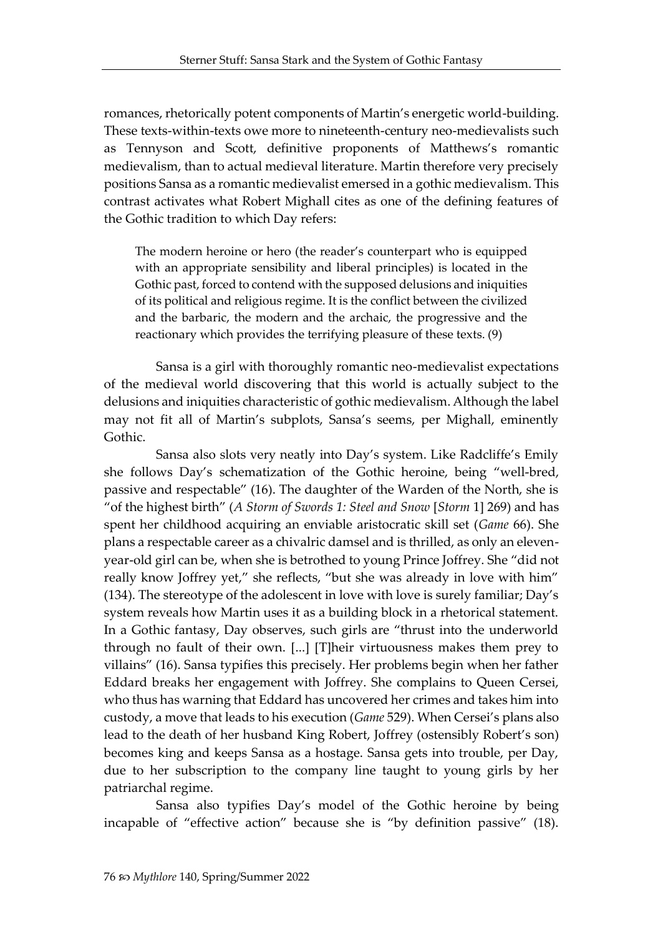romances, rhetorically potent components of Martin's energetic world-building. These texts-within-texts owe more to nineteenth-century neo-medievalists such as Tennyson and Scott, definitive proponents of Matthews's romantic medievalism, than to actual medieval literature. Martin therefore very precisely positions Sansa as a romantic medievalist emersed in a gothic medievalism. This contrast activates what Robert Mighall cites as one of the defining features of the Gothic tradition to which Day refers:

The modern heroine or hero (the reader's counterpart who is equipped with an appropriate sensibility and liberal principles) is located in the Gothic past, forced to contend with the supposed delusions and iniquities of its political and religious regime. It is the conflict between the civilized and the barbaric, the modern and the archaic, the progressive and the reactionary which provides the terrifying pleasure of these texts. (9)

Sansa is a girl with thoroughly romantic neo-medievalist expectations of the medieval world discovering that this world is actually subject to the delusions and iniquities characteristic of gothic medievalism. Although the label may not fit all of Martin's subplots, Sansa's seems, per Mighall, eminently Gothic.

Sansa also slots very neatly into Day's system. Like Radcliffe's Emily she follows Day's schematization of the Gothic heroine, being "well-bred, passive and respectable" (16). The daughter of the Warden of the North, she is "of the highest birth" (*A Storm of Swords 1: Steel and Snow* [*Storm* 1] 269) and has spent her childhood acquiring an enviable aristocratic skill set (*Game* 66). She plans a respectable career as a chivalric damsel and is thrilled, as only an elevenyear-old girl can be, when she is betrothed to young Prince Joffrey. She "did not really know Joffrey yet," she reflects, "but she was already in love with him" (134). The stereotype of the adolescent in love with love is surely familiar; Day's system reveals how Martin uses it as a building block in a rhetorical statement. In a Gothic fantasy, Day observes, such girls are "thrust into the underworld through no fault of their own. [...] [T]heir virtuousness makes them prey to villains" (16). Sansa typifies this precisely. Her problems begin when her father Eddard breaks her engagement with Joffrey. She complains to Queen Cersei, who thus has warning that Eddard has uncovered her crimes and takes him into custody, a move that leads to his execution (*Game* 529). When Cersei's plans also lead to the death of her husband King Robert, Joffrey (ostensibly Robert's son) becomes king and keeps Sansa as a hostage. Sansa gets into trouble, per Day, due to her subscription to the company line taught to young girls by her patriarchal regime.

Sansa also typifies Day's model of the Gothic heroine by being incapable of "effective action" because she is "by definition passive" (18).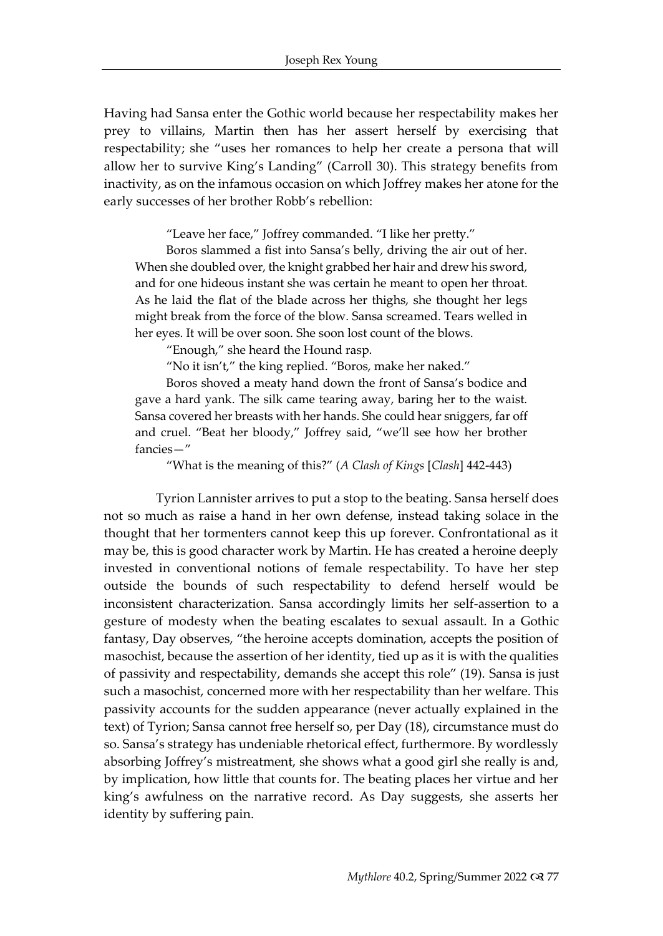Having had Sansa enter the Gothic world because her respectability makes her prey to villains, Martin then has her assert herself by exercising that respectability; she "uses her romances to help her create a persona that will allow her to survive King's Landing" (Carroll 30). This strategy benefits from inactivity, as on the infamous occasion on which Joffrey makes her atone for the early successes of her brother Robb's rebellion:

"Leave her face," Joffrey commanded. "I like her pretty."

Boros slammed a fist into Sansa's belly, driving the air out of her. When she doubled over, the knight grabbed her hair and drew his sword, and for one hideous instant she was certain he meant to open her throat. As he laid the flat of the blade across her thighs, she thought her legs might break from the force of the blow. Sansa screamed. Tears welled in her eyes. It will be over soon. She soon lost count of the blows.

"Enough," she heard the Hound rasp.

"No it isn't," the king replied. "Boros, make her naked."

Boros shoved a meaty hand down the front of Sansa's bodice and gave a hard yank. The silk came tearing away, baring her to the waist. Sansa covered her breasts with her hands. She could hear sniggers, far off and cruel. "Beat her bloody," Joffrey said, "we'll see how her brother fancies—"

"What is the meaning of this?" (*A Clash of Kings* [*Clash*] 442-443)

Tyrion Lannister arrives to put a stop to the beating. Sansa herself does not so much as raise a hand in her own defense, instead taking solace in the thought that her tormenters cannot keep this up forever. Confrontational as it may be, this is good character work by Martin. He has created a heroine deeply invested in conventional notions of female respectability. To have her step outside the bounds of such respectability to defend herself would be inconsistent characterization. Sansa accordingly limits her self-assertion to a gesture of modesty when the beating escalates to sexual assault. In a Gothic fantasy, Day observes, "the heroine accepts domination, accepts the position of masochist, because the assertion of her identity, tied up as it is with the qualities of passivity and respectability, demands she accept this role" (19). Sansa is just such a masochist, concerned more with her respectability than her welfare. This passivity accounts for the sudden appearance (never actually explained in the text) of Tyrion; Sansa cannot free herself so, per Day (18), circumstance must do so. Sansa's strategy has undeniable rhetorical effect, furthermore. By wordlessly absorbing Joffrey's mistreatment, she shows what a good girl she really is and, by implication, how little that counts for. The beating places her virtue and her king's awfulness on the narrative record. As Day suggests, she asserts her identity by suffering pain.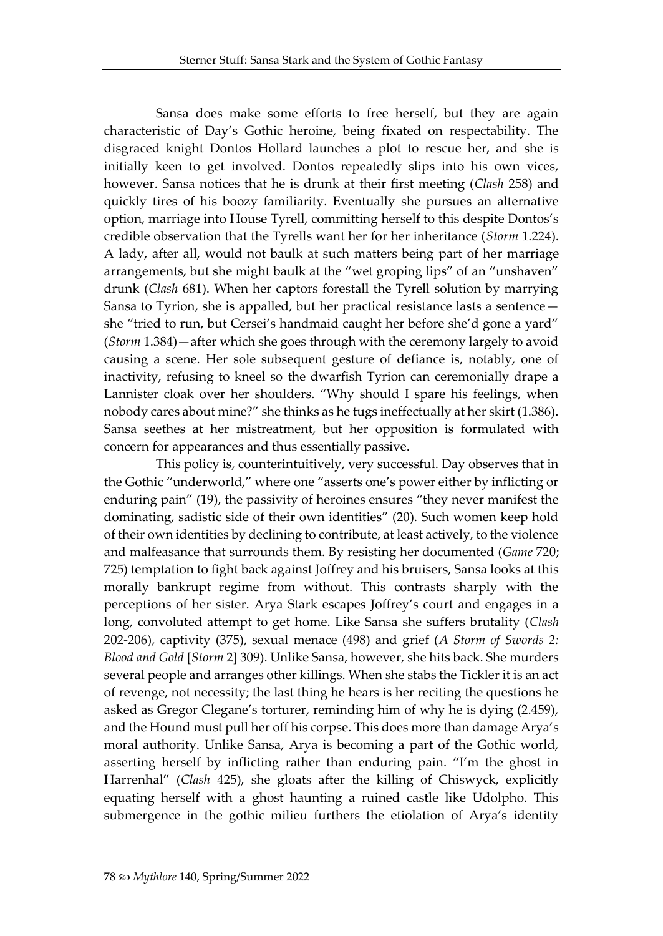Sansa does make some efforts to free herself, but they are again characteristic of Day's Gothic heroine, being fixated on respectability. The disgraced knight Dontos Hollard launches a plot to rescue her, and she is initially keen to get involved. Dontos repeatedly slips into his own vices, however. Sansa notices that he is drunk at their first meeting (*Clash* 258) and quickly tires of his boozy familiarity. Eventually she pursues an alternative option, marriage into House Tyrell, committing herself to this despite Dontos's credible observation that the Tyrells want her for her inheritance (*Storm* 1.224). A lady, after all, would not baulk at such matters being part of her marriage arrangements, but she might baulk at the "wet groping lips" of an "unshaven" drunk (*Clash* 681). When her captors forestall the Tyrell solution by marrying Sansa to Tyrion, she is appalled, but her practical resistance lasts a sentence she "tried to run, but Cersei's handmaid caught her before she'd gone a yard" (*Storm* 1.384)—after which she goes through with the ceremony largely to avoid causing a scene. Her sole subsequent gesture of defiance is, notably, one of inactivity, refusing to kneel so the dwarfish Tyrion can ceremonially drape a Lannister cloak over her shoulders. "Why should I spare his feelings, when nobody cares about mine?" she thinks as he tugs ineffectually at her skirt (1.386). Sansa seethes at her mistreatment, but her opposition is formulated with concern for appearances and thus essentially passive.

This policy is, counterintuitively, very successful. Day observes that in the Gothic "underworld," where one "asserts one's power either by inflicting or enduring pain" (19), the passivity of heroines ensures "they never manifest the dominating, sadistic side of their own identities" (20). Such women keep hold of their own identities by declining to contribute, at least actively, to the violence and malfeasance that surrounds them. By resisting her documented (*Game* 720; 725) temptation to fight back against Joffrey and his bruisers, Sansa looks at this morally bankrupt regime from without. This contrasts sharply with the perceptions of her sister. Arya Stark escapes Joffrey's court and engages in a long, convoluted attempt to get home. Like Sansa she suffers brutality (*Clash* 202-206), captivity (375), sexual menace (498) and grief (*A Storm of Swords 2: Blood and Gold* [*Storm* 2] 309). Unlike Sansa, however, she hits back. She murders several people and arranges other killings. When she stabs the Tickler it is an act of revenge, not necessity; the last thing he hears is her reciting the questions he asked as Gregor Clegane's torturer, reminding him of why he is dying (2.459), and the Hound must pull her off his corpse. This does more than damage Arya's moral authority. Unlike Sansa, Arya is becoming a part of the Gothic world, asserting herself by inflicting rather than enduring pain. "I'm the ghost in Harrenhal" (*Clash* 425), she gloats after the killing of Chiswyck, explicitly equating herself with a ghost haunting a ruined castle like Udolpho. This submergence in the gothic milieu furthers the etiolation of Arya's identity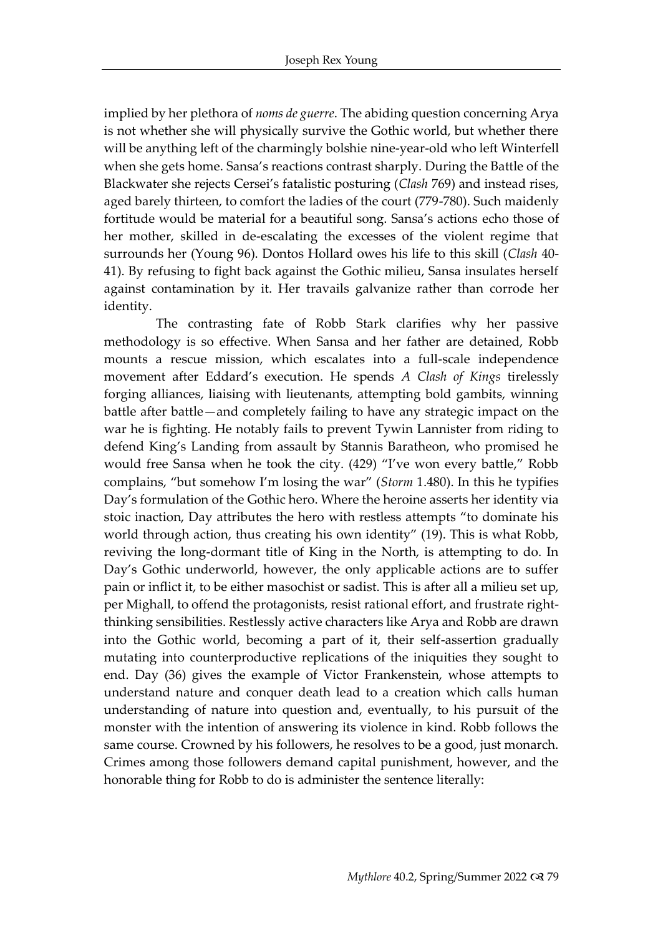implied by her plethora of *noms de guerre*. The abiding question concerning Arya is not whether she will physically survive the Gothic world, but whether there will be anything left of the charmingly bolshie nine-year-old who left Winterfell when she gets home. Sansa's reactions contrast sharply. During the Battle of the Blackwater she rejects Cersei's fatalistic posturing (*Clash* 769) and instead rises, aged barely thirteen, to comfort the ladies of the court (779-780). Such maidenly fortitude would be material for a beautiful song. Sansa's actions echo those of her mother, skilled in de-escalating the excesses of the violent regime that surrounds her (Young 96). Dontos Hollard owes his life to this skill (*Clash* 40- 41). By refusing to fight back against the Gothic milieu, Sansa insulates herself against contamination by it. Her travails galvanize rather than corrode her identity.

The contrasting fate of Robb Stark clarifies why her passive methodology is so effective. When Sansa and her father are detained, Robb mounts a rescue mission, which escalates into a full-scale independence movement after Eddard's execution. He spends *A Clash of Kings* tirelessly forging alliances, liaising with lieutenants, attempting bold gambits, winning battle after battle—and completely failing to have any strategic impact on the war he is fighting. He notably fails to prevent Tywin Lannister from riding to defend King's Landing from assault by Stannis Baratheon, who promised he would free Sansa when he took the city. (429) "I've won every battle," Robb complains, "but somehow I'm losing the war" (*Storm* 1.480). In this he typifies Day's formulation of the Gothic hero. Where the heroine asserts her identity via stoic inaction, Day attributes the hero with restless attempts "to dominate his world through action, thus creating his own identity" (19). This is what Robb, reviving the long-dormant title of King in the North, is attempting to do. In Day's Gothic underworld, however, the only applicable actions are to suffer pain or inflict it, to be either masochist or sadist. This is after all a milieu set up, per Mighall, to offend the protagonists, resist rational effort, and frustrate rightthinking sensibilities. Restlessly active characters like Arya and Robb are drawn into the Gothic world, becoming a part of it, their self-assertion gradually mutating into counterproductive replications of the iniquities they sought to end. Day (36) gives the example of Victor Frankenstein, whose attempts to understand nature and conquer death lead to a creation which calls human understanding of nature into question and, eventually, to his pursuit of the monster with the intention of answering its violence in kind. Robb follows the same course. Crowned by his followers, he resolves to be a good, just monarch. Crimes among those followers demand capital punishment, however, and the honorable thing for Robb to do is administer the sentence literally: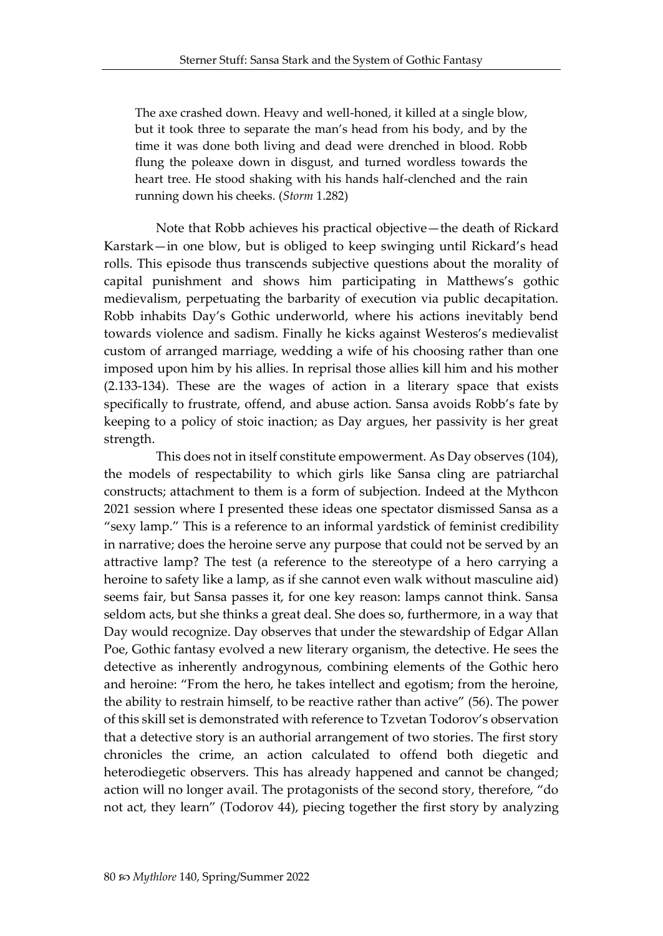The axe crashed down. Heavy and well-honed, it killed at a single blow, but it took three to separate the man's head from his body, and by the time it was done both living and dead were drenched in blood. Robb flung the poleaxe down in disgust, and turned wordless towards the heart tree. He stood shaking with his hands half-clenched and the rain running down his cheeks. (*Storm* 1.282)

Note that Robb achieves his practical objective—the death of Rickard Karstark—in one blow, but is obliged to keep swinging until Rickard's head rolls. This episode thus transcends subjective questions about the morality of capital punishment and shows him participating in Matthews's gothic medievalism, perpetuating the barbarity of execution via public decapitation. Robb inhabits Day's Gothic underworld, where his actions inevitably bend towards violence and sadism. Finally he kicks against Westeros's medievalist custom of arranged marriage, wedding a wife of his choosing rather than one imposed upon him by his allies. In reprisal those allies kill him and his mother (2.133-134). These are the wages of action in a literary space that exists specifically to frustrate, offend, and abuse action. Sansa avoids Robb's fate by keeping to a policy of stoic inaction; as Day argues, her passivity is her great strength.

This does not in itself constitute empowerment. As Day observes (104), the models of respectability to which girls like Sansa cling are patriarchal constructs; attachment to them is a form of subjection. Indeed at the Mythcon 2021 session where I presented these ideas one spectator dismissed Sansa as a "sexy lamp." This is a reference to an informal yardstick of feminist credibility in narrative; does the heroine serve any purpose that could not be served by an attractive lamp? The test (a reference to the stereotype of a hero carrying a heroine to safety like a lamp, as if she cannot even walk without masculine aid) seems fair, but Sansa passes it, for one key reason: lamps cannot think. Sansa seldom acts, but she thinks a great deal. She does so, furthermore, in a way that Day would recognize. Day observes that under the stewardship of Edgar Allan Poe, Gothic fantasy evolved a new literary organism, the detective. He sees the detective as inherently androgynous, combining elements of the Gothic hero and heroine: "From the hero, he takes intellect and egotism; from the heroine, the ability to restrain himself, to be reactive rather than active" (56). The power of this skill set is demonstrated with reference to Tzvetan Todorov's observation that a detective story is an authorial arrangement of two stories. The first story chronicles the crime, an action calculated to offend both diegetic and heterodiegetic observers. This has already happened and cannot be changed; action will no longer avail. The protagonists of the second story, therefore, "do not act, they learn" (Todorov 44), piecing together the first story by analyzing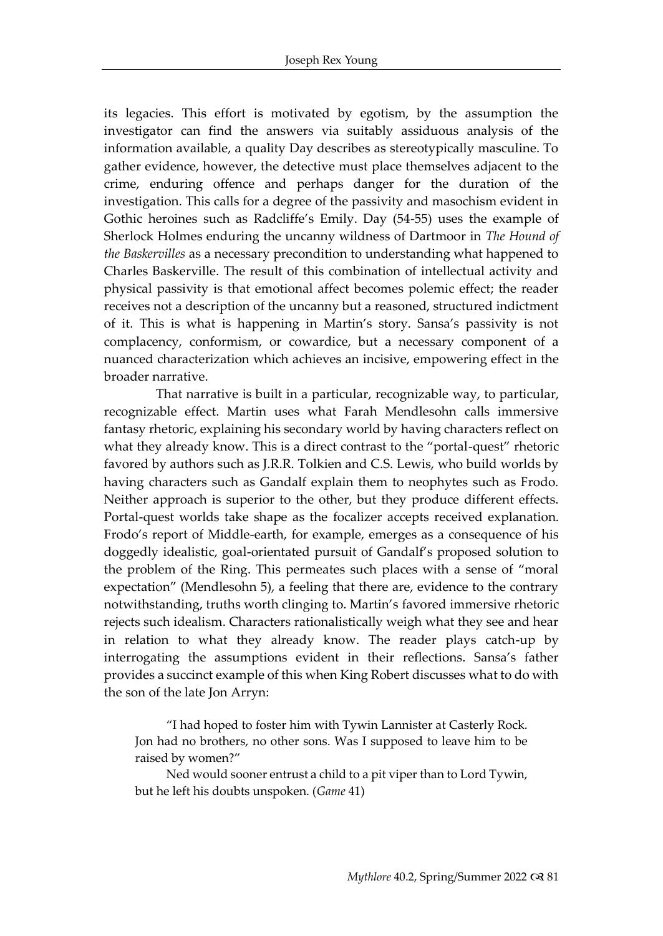its legacies. This effort is motivated by egotism, by the assumption the investigator can find the answers via suitably assiduous analysis of the information available, a quality Day describes as stereotypically masculine. To gather evidence, however, the detective must place themselves adjacent to the crime, enduring offence and perhaps danger for the duration of the investigation. This calls for a degree of the passivity and masochism evident in Gothic heroines such as Radcliffe's Emily. Day (54-55) uses the example of Sherlock Holmes enduring the uncanny wildness of Dartmoor in *The Hound of the Baskervilles* as a necessary precondition to understanding what happened to Charles Baskerville. The result of this combination of intellectual activity and physical passivity is that emotional affect becomes polemic effect; the reader receives not a description of the uncanny but a reasoned, structured indictment of it. This is what is happening in Martin's story. Sansa's passivity is not complacency, conformism, or cowardice, but a necessary component of a nuanced characterization which achieves an incisive, empowering effect in the broader narrative.

That narrative is built in a particular, recognizable way, to particular, recognizable effect. Martin uses what Farah Mendlesohn calls immersive fantasy rhetoric, explaining his secondary world by having characters reflect on what they already know. This is a direct contrast to the "portal-quest" rhetoric favored by authors such as J.R.R. Tolkien and C.S. Lewis, who build worlds by having characters such as Gandalf explain them to neophytes such as Frodo. Neither approach is superior to the other, but they produce different effects. Portal-quest worlds take shape as the focalizer accepts received explanation. Frodo's report of Middle-earth, for example, emerges as a consequence of his doggedly idealistic, goal-orientated pursuit of Gandalf's proposed solution to the problem of the Ring. This permeates such places with a sense of "moral expectation" (Mendlesohn 5), a feeling that there are, evidence to the contrary notwithstanding, truths worth clinging to. Martin's favored immersive rhetoric rejects such idealism. Characters rationalistically weigh what they see and hear in relation to what they already know. The reader plays catch-up by interrogating the assumptions evident in their reflections. Sansa's father provides a succinct example of this when King Robert discusses what to do with the son of the late Jon Arryn:

"I had hoped to foster him with Tywin Lannister at Casterly Rock. Jon had no brothers, no other sons. Was I supposed to leave him to be raised by women?"

Ned would sooner entrust a child to a pit viper than to Lord Tywin, but he left his doubts unspoken. (*Game* 41)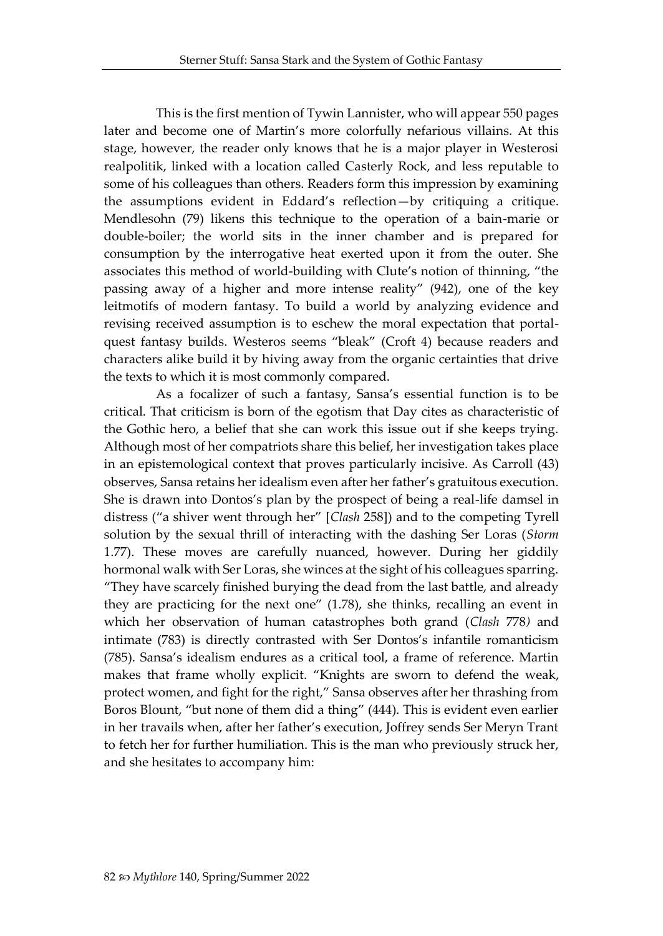This is the first mention of Tywin Lannister, who will appear 550 pages later and become one of Martin's more colorfully nefarious villains. At this stage, however, the reader only knows that he is a major player in Westerosi realpolitik, linked with a location called Casterly Rock, and less reputable to some of his colleagues than others. Readers form this impression by examining the assumptions evident in Eddard's reflection—by critiquing a critique. Mendlesohn (79) likens this technique to the operation of a bain-marie or double-boiler; the world sits in the inner chamber and is prepared for consumption by the interrogative heat exerted upon it from the outer. She associates this method of world-building with Clute's notion of thinning, "the passing away of a higher and more intense reality" (942), one of the key leitmotifs of modern fantasy. To build a world by analyzing evidence and revising received assumption is to eschew the moral expectation that portalquest fantasy builds. Westeros seems "bleak" (Croft 4) because readers and characters alike build it by hiving away from the organic certainties that drive the texts to which it is most commonly compared.

As a focalizer of such a fantasy, Sansa's essential function is to be critical. That criticism is born of the egotism that Day cites as characteristic of the Gothic hero, a belief that she can work this issue out if she keeps trying. Although most of her compatriots share this belief, her investigation takes place in an epistemological context that proves particularly incisive. As Carroll (43) observes, Sansa retains her idealism even after her father's gratuitous execution. She is drawn into Dontos's plan by the prospect of being a real-life damsel in distress ("a shiver went through her" [*Clash* 258]) and to the competing Tyrell solution by the sexual thrill of interacting with the dashing Ser Loras (*Storm* 1.77). These moves are carefully nuanced, however. During her giddily hormonal walk with Ser Loras, she winces at the sight of his colleagues sparring. "They have scarcely finished burying the dead from the last battle, and already they are practicing for the next one" (1.78), she thinks, recalling an event in which her observation of human catastrophes both grand (*Clash* 778*)* and intimate (783) is directly contrasted with Ser Dontos's infantile romanticism (785). Sansa's idealism endures as a critical tool, a frame of reference. Martin makes that frame wholly explicit. "Knights are sworn to defend the weak, protect women, and fight for the right," Sansa observes after her thrashing from Boros Blount, "but none of them did a thing" (444). This is evident even earlier in her travails when, after her father's execution, Joffrey sends Ser Meryn Trant to fetch her for further humiliation. This is the man who previously struck her, and she hesitates to accompany him: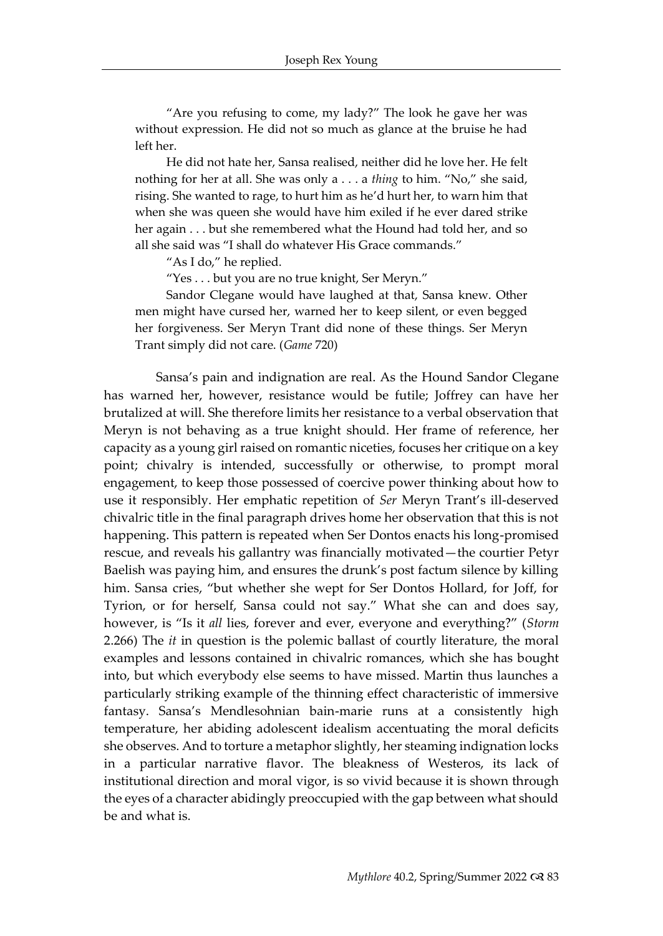"Are you refusing to come, my lady?" The look he gave her was without expression. He did not so much as glance at the bruise he had left her.

He did not hate her, Sansa realised, neither did he love her. He felt nothing for her at all. She was only a . . . a *thing* to him. "No," she said, rising. She wanted to rage, to hurt him as he'd hurt her, to warn him that when she was queen she would have him exiled if he ever dared strike her again . . . but she remembered what the Hound had told her, and so all she said was "I shall do whatever His Grace commands."

"As I do," he replied.

"Yes . . . but you are no true knight, Ser Meryn."

Sandor Clegane would have laughed at that, Sansa knew. Other men might have cursed her, warned her to keep silent, or even begged her forgiveness. Ser Meryn Trant did none of these things. Ser Meryn Trant simply did not care. (*Game* 720)

Sansa's pain and indignation are real. As the Hound Sandor Clegane has warned her, however, resistance would be futile; Joffrey can have her brutalized at will. She therefore limits her resistance to a verbal observation that Meryn is not behaving as a true knight should. Her frame of reference, her capacity as a young girl raised on romantic niceties, focuses her critique on a key point; chivalry is intended, successfully or otherwise, to prompt moral engagement, to keep those possessed of coercive power thinking about how to use it responsibly. Her emphatic repetition of *Ser* Meryn Trant's ill-deserved chivalric title in the final paragraph drives home her observation that this is not happening. This pattern is repeated when Ser Dontos enacts his long-promised rescue, and reveals his gallantry was financially motivated—the courtier Petyr Baelish was paying him, and ensures the drunk's post factum silence by killing him. Sansa cries, "but whether she wept for Ser Dontos Hollard, for Joff, for Tyrion, or for herself, Sansa could not say." What she can and does say, however, is "Is it *all* lies, forever and ever, everyone and everything?" (*Storm* 2.266) The *it* in question is the polemic ballast of courtly literature, the moral examples and lessons contained in chivalric romances, which she has bought into, but which everybody else seems to have missed. Martin thus launches a particularly striking example of the thinning effect characteristic of immersive fantasy. Sansa's Mendlesohnian bain-marie runs at a consistently high temperature, her abiding adolescent idealism accentuating the moral deficits she observes. And to torture a metaphor slightly, her steaming indignation locks in a particular narrative flavor. The bleakness of Westeros, its lack of institutional direction and moral vigor, is so vivid because it is shown through the eyes of a character abidingly preoccupied with the gap between what should be and what is.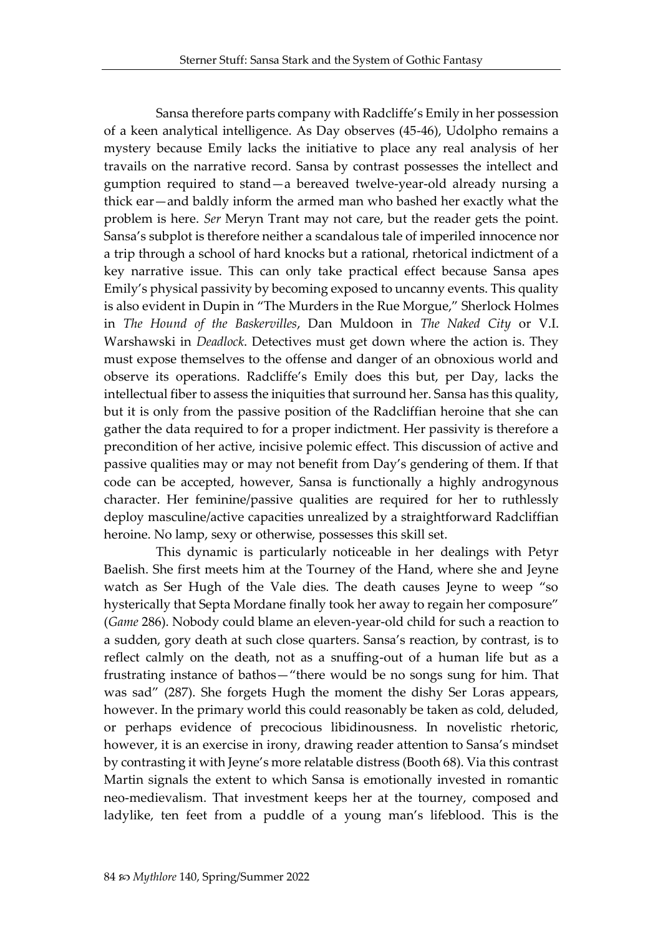Sansa therefore parts company with Radcliffe's Emily in her possession of a keen analytical intelligence. As Day observes (45-46), Udolpho remains a mystery because Emily lacks the initiative to place any real analysis of her travails on the narrative record. Sansa by contrast possesses the intellect and gumption required to stand—a bereaved twelve-year-old already nursing a thick ear—and baldly inform the armed man who bashed her exactly what the problem is here. *Ser* Meryn Trant may not care, but the reader gets the point. Sansa's subplot is therefore neither a scandalous tale of imperiled innocence nor a trip through a school of hard knocks but a rational, rhetorical indictment of a key narrative issue. This can only take practical effect because Sansa apes Emily's physical passivity by becoming exposed to uncanny events. This quality is also evident in Dupin in "The Murders in the Rue Morgue," Sherlock Holmes in *The Hound of the Baskervilles*, Dan Muldoon in *The Naked City* or V.I. Warshawski in *Deadlock*. Detectives must get down where the action is. They must expose themselves to the offense and danger of an obnoxious world and observe its operations. Radcliffe's Emily does this but, per Day, lacks the intellectual fiber to assess the iniquities that surround her. Sansa has this quality, but it is only from the passive position of the Radcliffian heroine that she can gather the data required to for a proper indictment. Her passivity is therefore a precondition of her active, incisive polemic effect. This discussion of active and passive qualities may or may not benefit from Day's gendering of them. If that code can be accepted, however, Sansa is functionally a highly androgynous character. Her feminine/passive qualities are required for her to ruthlessly deploy masculine/active capacities unrealized by a straightforward Radcliffian heroine. No lamp, sexy or otherwise, possesses this skill set.

This dynamic is particularly noticeable in her dealings with Petyr Baelish. She first meets him at the Tourney of the Hand, where she and Jeyne watch as Ser Hugh of the Vale dies. The death causes Jeyne to weep "so hysterically that Septa Mordane finally took her away to regain her composure" (*Game* 286). Nobody could blame an eleven-year-old child for such a reaction to a sudden, gory death at such close quarters. Sansa's reaction, by contrast, is to reflect calmly on the death, not as a snuffing-out of a human life but as a frustrating instance of bathos—"there would be no songs sung for him. That was sad" (287). She forgets Hugh the moment the dishy Ser Loras appears, however. In the primary world this could reasonably be taken as cold, deluded, or perhaps evidence of precocious libidinousness. In novelistic rhetoric, however, it is an exercise in irony, drawing reader attention to Sansa's mindset by contrasting it with Jeyne's more relatable distress (Booth 68). Via this contrast Martin signals the extent to which Sansa is emotionally invested in romantic neo-medievalism. That investment keeps her at the tourney, composed and ladylike, ten feet from a puddle of a young man's lifeblood. This is the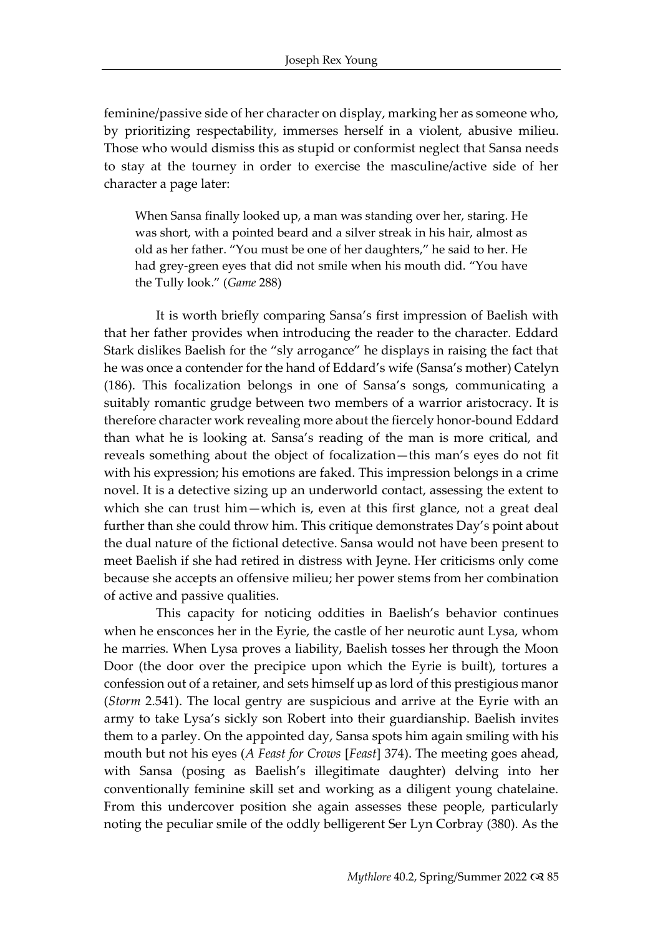feminine/passive side of her character on display, marking her as someone who, by prioritizing respectability, immerses herself in a violent, abusive milieu. Those who would dismiss this as stupid or conformist neglect that Sansa needs to stay at the tourney in order to exercise the masculine/active side of her character a page later:

When Sansa finally looked up, a man was standing over her, staring. He was short, with a pointed beard and a silver streak in his hair, almost as old as her father. "You must be one of her daughters," he said to her. He had grey-green eyes that did not smile when his mouth did. "You have the Tully look." (*Game* 288)

It is worth briefly comparing Sansa's first impression of Baelish with that her father provides when introducing the reader to the character. Eddard Stark dislikes Baelish for the "sly arrogance" he displays in raising the fact that he was once a contender for the hand of Eddard's wife (Sansa's mother) Catelyn (186). This focalization belongs in one of Sansa's songs, communicating a suitably romantic grudge between two members of a warrior aristocracy. It is therefore character work revealing more about the fiercely honor-bound Eddard than what he is looking at. Sansa's reading of the man is more critical, and reveals something about the object of focalization—this man's eyes do not fit with his expression; his emotions are faked. This impression belongs in a crime novel. It is a detective sizing up an underworld contact, assessing the extent to which she can trust him—which is, even at this first glance, not a great deal further than she could throw him. This critique demonstrates Day's point about the dual nature of the fictional detective. Sansa would not have been present to meet Baelish if she had retired in distress with Jeyne. Her criticisms only come because she accepts an offensive milieu; her power stems from her combination of active and passive qualities.

This capacity for noticing oddities in Baelish's behavior continues when he ensconces her in the Eyrie, the castle of her neurotic aunt Lysa, whom he marries. When Lysa proves a liability, Baelish tosses her through the Moon Door (the door over the precipice upon which the Eyrie is built), tortures a confession out of a retainer, and sets himself up as lord of this prestigious manor (*Storm* 2.541). The local gentry are suspicious and arrive at the Eyrie with an army to take Lysa's sickly son Robert into their guardianship. Baelish invites them to a parley. On the appointed day, Sansa spots him again smiling with his mouth but not his eyes (*A Feast for Crows* [*Feast*] 374). The meeting goes ahead, with Sansa (posing as Baelish's illegitimate daughter) delving into her conventionally feminine skill set and working as a diligent young chatelaine. From this undercover position she again assesses these people, particularly noting the peculiar smile of the oddly belligerent Ser Lyn Corbray (380). As the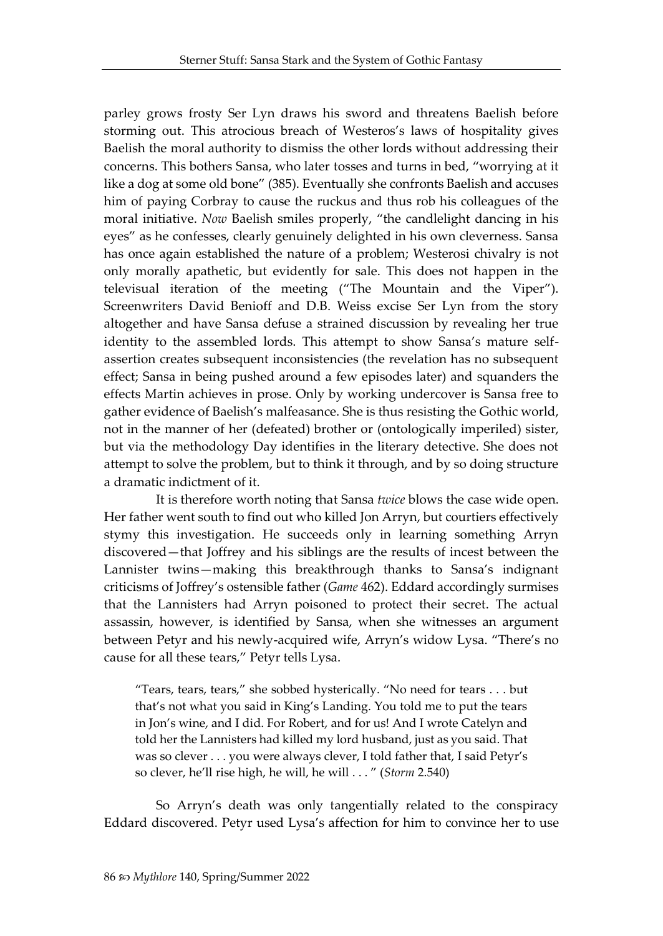parley grows frosty Ser Lyn draws his sword and threatens Baelish before storming out. This atrocious breach of Westeros's laws of hospitality gives Baelish the moral authority to dismiss the other lords without addressing their concerns. This bothers Sansa, who later tosses and turns in bed, "worrying at it like a dog at some old bone" (385). Eventually she confronts Baelish and accuses him of paying Corbray to cause the ruckus and thus rob his colleagues of the moral initiative. *Now* Baelish smiles properly, "the candlelight dancing in his eyes" as he confesses, clearly genuinely delighted in his own cleverness. Sansa has once again established the nature of a problem; Westerosi chivalry is not only morally apathetic, but evidently for sale. This does not happen in the televisual iteration of the meeting ("The Mountain and the Viper"). Screenwriters David Benioff and D.B. Weiss excise Ser Lyn from the story altogether and have Sansa defuse a strained discussion by revealing her true identity to the assembled lords. This attempt to show Sansa's mature selfassertion creates subsequent inconsistencies (the revelation has no subsequent effect; Sansa in being pushed around a few episodes later) and squanders the effects Martin achieves in prose. Only by working undercover is Sansa free to gather evidence of Baelish's malfeasance. She is thus resisting the Gothic world, not in the manner of her (defeated) brother or (ontologically imperiled) sister, but via the methodology Day identifies in the literary detective. She does not attempt to solve the problem, but to think it through, and by so doing structure a dramatic indictment of it.

It is therefore worth noting that Sansa *twice* blows the case wide open. Her father went south to find out who killed Jon Arryn, but courtiers effectively stymy this investigation. He succeeds only in learning something Arryn discovered—that Joffrey and his siblings are the results of incest between the Lannister twins—making this breakthrough thanks to Sansa's indignant criticisms of Joffrey's ostensible father (*Game* 462). Eddard accordingly surmises that the Lannisters had Arryn poisoned to protect their secret. The actual assassin, however, is identified by Sansa, when she witnesses an argument between Petyr and his newly-acquired wife, Arryn's widow Lysa. "There's no cause for all these tears," Petyr tells Lysa.

"Tears, tears, tears," she sobbed hysterically. "No need for tears . . . but that's not what you said in King's Landing. You told me to put the tears in Jon's wine, and I did. For Robert, and for us! And I wrote Catelyn and told her the Lannisters had killed my lord husband, just as you said. That was so clever . . . you were always clever, I told father that, I said Petyr's so clever, he'll rise high, he will, he will . . . " (*Storm* 2.540)

So Arryn's death was only tangentially related to the conspiracy Eddard discovered. Petyr used Lysa's affection for him to convince her to use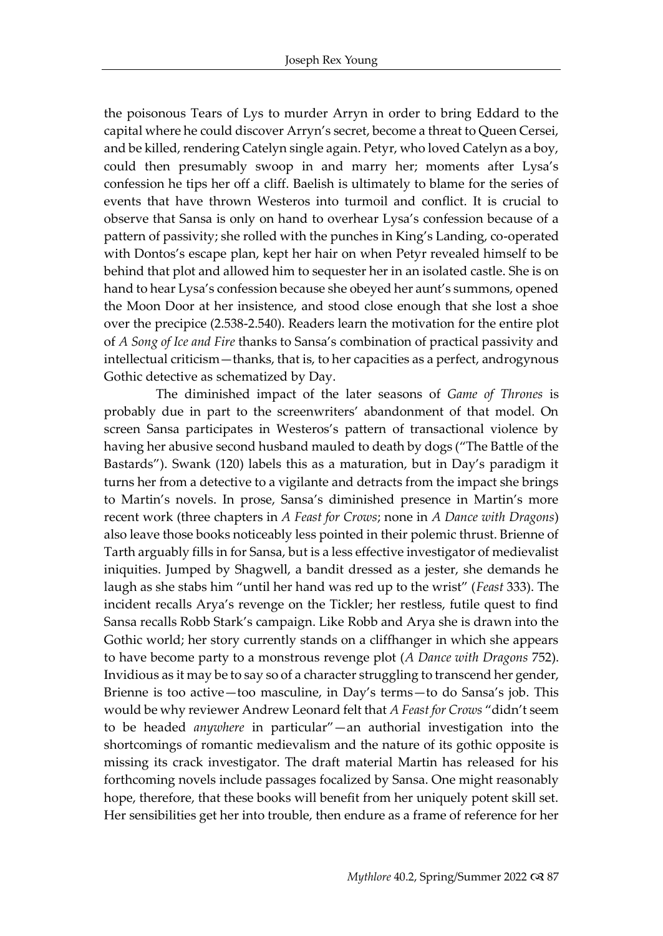the poisonous Tears of Lys to murder Arryn in order to bring Eddard to the capital where he could discover Arryn's secret, become a threat to Queen Cersei, and be killed, rendering Catelyn single again. Petyr, who loved Catelyn as a boy, could then presumably swoop in and marry her; moments after Lysa's confession he tips her off a cliff. Baelish is ultimately to blame for the series of events that have thrown Westeros into turmoil and conflict. It is crucial to observe that Sansa is only on hand to overhear Lysa's confession because of a pattern of passivity; she rolled with the punches in King's Landing, co-operated with Dontos's escape plan, kept her hair on when Petyr revealed himself to be behind that plot and allowed him to sequester her in an isolated castle. She is on hand to hear Lysa's confession because she obeyed her aunt's summons, opened the Moon Door at her insistence, and stood close enough that she lost a shoe over the precipice (2.538-2.540). Readers learn the motivation for the entire plot of *A Song of Ice and Fire* thanks to Sansa's combination of practical passivity and intellectual criticism—thanks, that is, to her capacities as a perfect, androgynous Gothic detective as schematized by Day.

The diminished impact of the later seasons of *Game of Thrones* is probably due in part to the screenwriters' abandonment of that model. On screen Sansa participates in Westeros's pattern of transactional violence by having her abusive second husband mauled to death by dogs ("The Battle of the Bastards"). Swank (120) labels this as a maturation, but in Day's paradigm it turns her from a detective to a vigilante and detracts from the impact she brings to Martin's novels. In prose, Sansa's diminished presence in Martin's more recent work (three chapters in *A Feast for Crows*; none in *A Dance with Dragons*) also leave those books noticeably less pointed in their polemic thrust. Brienne of Tarth arguably fills in for Sansa, but is a less effective investigator of medievalist iniquities. Jumped by Shagwell, a bandit dressed as a jester, she demands he laugh as she stabs him "until her hand was red up to the wrist" (*Feast* 333). The incident recalls Arya's revenge on the Tickler; her restless, futile quest to find Sansa recalls Robb Stark's campaign. Like Robb and Arya she is drawn into the Gothic world; her story currently stands on a cliffhanger in which she appears to have become party to a monstrous revenge plot (*A Dance with Dragons* 752). Invidious as it may be to say so of a character struggling to transcend her gender, Brienne is too active—too masculine, in Day's terms—to do Sansa's job. This would be why reviewer Andrew Leonard felt that *A Feast for Crows* "didn't seem to be headed *anywhere* in particular"—an authorial investigation into the shortcomings of romantic medievalism and the nature of its gothic opposite is missing its crack investigator. The draft material Martin has released for his forthcoming novels include passages focalized by Sansa. One might reasonably hope, therefore, that these books will benefit from her uniquely potent skill set. Her sensibilities get her into trouble, then endure as a frame of reference for her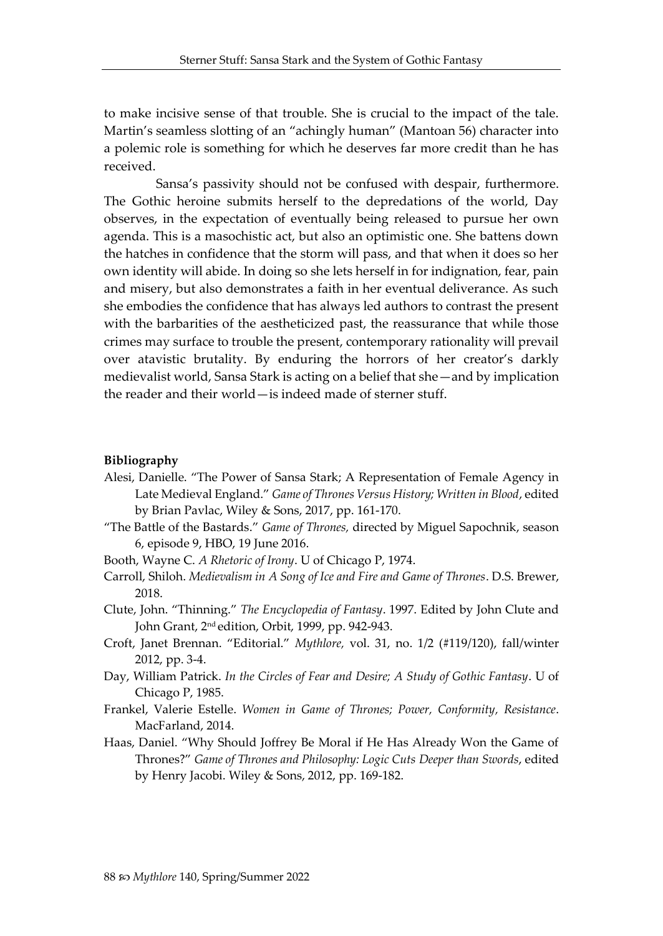to make incisive sense of that trouble. She is crucial to the impact of the tale. Martin's seamless slotting of an "achingly human" (Mantoan 56) character into a polemic role is something for which he deserves far more credit than he has received.

Sansa's passivity should not be confused with despair, furthermore. The Gothic heroine submits herself to the depredations of the world, Day observes, in the expectation of eventually being released to pursue her own agenda. This is a masochistic act, but also an optimistic one. She battens down the hatches in confidence that the storm will pass, and that when it does so her own identity will abide. In doing so she lets herself in for indignation, fear, pain and misery, but also demonstrates a faith in her eventual deliverance. As such she embodies the confidence that has always led authors to contrast the present with the barbarities of the aestheticized past, the reassurance that while those crimes may surface to trouble the present, contemporary rationality will prevail over atavistic brutality. By enduring the horrors of her creator's darkly medievalist world, Sansa Stark is acting on a belief that she—and by implication the reader and their world—is indeed made of sterner stuff.

#### **Bibliography**

- Alesi, Danielle. "The Power of Sansa Stark; A Representation of Female Agency in Late Medieval England." *Game of Thrones Versus History; Written in Blood*, edited by Brian Pavlac, Wiley & Sons, 2017, pp. 161-170.
- "The Battle of the Bastards." *Game of Thrones,* directed by Miguel Sapochnik, season 6, episode 9, HBO, 19 June 2016.
- Booth, Wayne C. *A Rhetoric of Irony*. U of Chicago P, 1974.
- Carroll, Shiloh. *Medievalism in A Song of Ice and Fire and Game of Thrones*. D.S. Brewer, 2018.
- Clute, John. "Thinning." *The Encyclopedia of Fantasy*. 1997. Edited by John Clute and John Grant, 2 nd edition, Orbit, 1999, pp. 942-943.
- Croft, Janet Brennan. "Editorial." *Mythlore,* vol. 31, no. 1/2 (#119/120), fall/winter 2012, pp. 3-4.
- Day, William Patrick. *In the Circles of Fear and Desire; A Study of Gothic Fantasy*. U of Chicago P, 1985.
- Frankel, Valerie Estelle. *Women in Game of Thrones; Power, Conformity, Resistance*. MacFarland, 2014.
- Haas, Daniel. "Why Should Joffrey Be Moral if He Has Already Won the Game of Thrones?" *Game of Thrones and Philosophy: Logic Cuts Deeper than Swords*, edited by Henry Jacobi. Wiley & Sons, 2012, pp. 169-182.